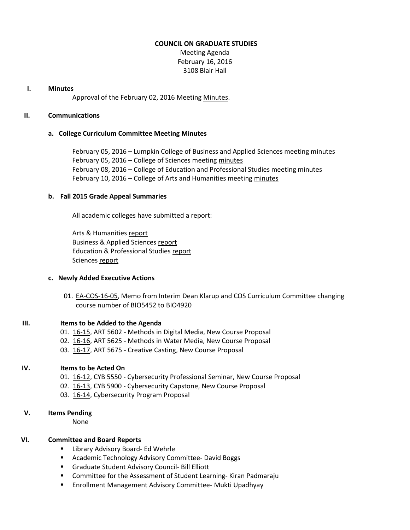## **COUNCIL ON GRADUATE STUDIES**

Meeting Agenda February 16, 2016 3108 Blair Hall

## **I. Minutes**

Approval of the February 02, 2016 Meetin[g Minutes.](http://castle.eiu.edu/eiucgs/currentminutes/Minutes02-02-16.pdf)

## **II. Communications**

## **a. College Curriculum Committee Meeting Minutes**

February 05, 2016 – Lumpkin College of Business and Applied Sciences meeting [minutes](http://castle.eiu.edu/~eiucgs/currentagendaitems/LCBASMin02-05-16.pdf) February 05, 2016 – College of Sciences meetin[g minutes](http://castle.eiu.edu/~eiucgs/currentagendaitems/COSMin02-05-16.pdf) February 08, 2016 – College of Education and Professional Studies meetin[g minutes](http://castle.eiu.edu/~eiucgs/currentagendaitems/CEPSMin02-08-16.pdf) February 10, 2016 – College of Arts and Humanities meetin[g minutes](http://castle.eiu.edu/~eiucgs/currentagendaitems/CAHMin02-10-16.pdf)

# **b. Fall 2015 Grade Appeal Summaries**

All academic colleges have submitted a report:

Arts & Humanities [report](http://castle.eiu.edu/~eiucgs/documents/GradeAppealFA15CAH.pdf) Business & Applied Sciences [report](http://castle.eiu.edu/~eiucgs/documents/GradeAppealFA15LCBAS.pdf) Education & Professional Studies [report](http://castle.eiu.edu/~eiucgs/documents/GradeAppealFA15CEPS.pdf) Science[s report](http://castle.eiu.edu/~eiucgs/documents/GradeAppealFA15COS.pdf)

#### **c. Newly Added Executive Actions**

01. [EA-COS-16-05,](http://castle.eiu.edu/~eiucgs/exec-actions/EA-COS-16-05.pdf) Memo from Interim Dean Klarup and COS Curriculum Committee changing course number of BIO5452 to BIO4920

#### **III. Items to be Added to the Agenda**

- 01. [16-15,](http://castle.eiu.edu/~eiucgs/currentagendaitems/agenda16-15.pdf) ART 5602 Methods in Digital Media, New Course Proposal
- 02. [16-16,](http://castle.eiu.edu/~eiucgs/currentagendaitems/agenda16-16.pdf) ART 5625 Methods in Water Media, New Course Proposal
- 03. [16-17,](http://castle.eiu.edu/~eiucgs/currentagendaitems/agenda16-17.pdf) ART 5675 Creative Casting, New Course Proposal

## **IV. Items to be Acted On**

- 01. [16-12,](http://castle.eiu.edu/~eiucgs/currentagendaitems/agenda16-12.pdf) CYB 5550 Cybersecurity Professional Seminar, New Course Proposal
- 02. [16-13,](http://castle.eiu.edu/~eiucgs/currentagendaitems/agenda16-13.pdf) CYB 5900 Cybersecurity Capstone, New Course Proposal
- 03. [16-14,](http://castle.eiu.edu/~eiucgs/currentagendaitems/agenda16-14.pdf) Cybersecurity Program Proposal

# **V. Items Pending**

None

## **VI. Committee and Board Reports**

- **E** Library Advisory Board- Ed Wehrle
- **E** Academic Technology Advisory Committee- David Boggs
- Graduate Student Advisory Council- Bill Elliott
- **EXTER** Committee for the Assessment of Student Learning-Kiran Padmaraju
- **Enrollment Management Advisory Committee- Mukti Upadhyay**